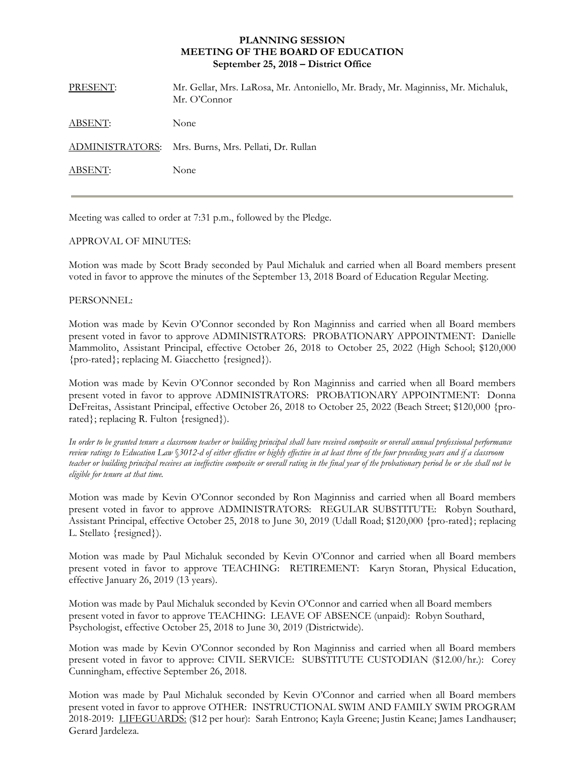## **PLANNING SESSION MEETING OF THE BOARD OF EDUCATION September 25, 2018 – District Office**

| PRESENT:        | Mr. Gellar, Mrs. LaRosa, Mr. Antoniello, Mr. Brady, Mr. Maginniss, Mr. Michaluk,<br>Mr. O'Connor |
|-----------------|--------------------------------------------------------------------------------------------------|
| <b>ABSENT:</b>  | None                                                                                             |
| ADMINISTRATORS: | Mrs. Burns, Mrs. Pellati, Dr. Rullan                                                             |
| <b>ABSENT:</b>  | None                                                                                             |
|                 |                                                                                                  |

Meeting was called to order at 7:31 p.m., followed by the Pledge.

## APPROVAL OF MINUTES:

Motion was made by Scott Brady seconded by Paul Michaluk and carried when all Board members present voted in favor to approve the minutes of the September 13, 2018 Board of Education Regular Meeting.

## PERSONNEL:

Motion was made by Kevin O'Connor seconded by Ron Maginniss and carried when all Board members present voted in favor to approve ADMINISTRATORS: PROBATIONARY APPOINTMENT: Danielle Mammolito, Assistant Principal, effective October 26, 2018 to October 25, 2022 (High School; \$120,000 {pro-rated}; replacing M. Giacchetto {resigned}).

Motion was made by Kevin O'Connor seconded by Ron Maginniss and carried when all Board members present voted in favor to approve ADMINISTRATORS: PROBATIONARY APPOINTMENT: Donna DeFreitas, Assistant Principal, effective October 26, 2018 to October 25, 2022 (Beach Street; \$120,000 {prorated}; replacing R. Fulton {resigned}).

*In order to be granted tenure a classroom teacher or building principal shall have received composite or overall annual professional performance review ratings to Education Law* §*3012-d of either effective or highly effective in at least three of the four preceding years and if a classroom teacher or building principal receives an ineffective composite or overall rating in the final year of the probationary period he or she shall not be eligible for tenure at that time.* 

Motion was made by Kevin O'Connor seconded by Ron Maginniss and carried when all Board members present voted in favor to approve ADMINISTRATORS: REGULAR SUBSTITUTE: Robyn Southard, Assistant Principal, effective October 25, 2018 to June 30, 2019 (Udall Road; \$120,000 {pro-rated}; replacing L. Stellato {resigned}).

Motion was made by Paul Michaluk seconded by Kevin O'Connor and carried when all Board members present voted in favor to approve TEACHING: RETIREMENT: Karyn Storan, Physical Education, effective January 26, 2019 (13 years).

Motion was made by Paul Michaluk seconded by Kevin O'Connor and carried when all Board members present voted in favor to approve TEACHING: LEAVE OF ABSENCE (unpaid): Robyn Southard, Psychologist, effective October 25, 2018 to June 30, 2019 (Districtwide).

Motion was made by Kevin O'Connor seconded by Ron Maginniss and carried when all Board members present voted in favor to approve: CIVIL SERVICE: SUBSTITUTE CUSTODIAN (\$12.00/hr.): Corey Cunningham, effective September 26, 2018.

Motion was made by Paul Michaluk seconded by Kevin O'Connor and carried when all Board members present voted in favor to approve OTHER: INSTRUCTIONAL SWIM AND FAMILY SWIM PROGRAM 2018-2019: LIFEGUARDS: (\$12 per hour): Sarah Entrono; Kayla Greene; Justin Keane; James Landhauser; Gerard Jardeleza.